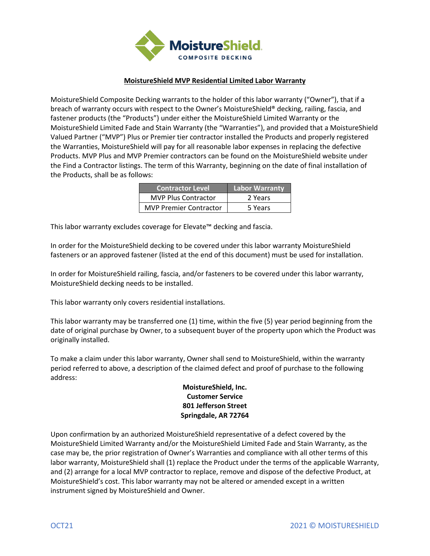

## **MoistureShield MVP Residential Limited Labor Warranty**

MoistureShield Composite Decking warrants to the holder of this labor warranty ("Owner"), that if a breach of warranty occurs with respect to the Owner's MoistureShield® decking, railing, fascia, and fastener products (the "Products") under either the MoistureShield Limited Warranty or the MoistureShield Limited Fade and Stain Warranty (the "Warranties"), and provided that a MoistureShield Valued Partner ("MVP") Plus or Premier tier contractor installed the Products and properly registered the Warranties, MoistureShield will pay for all reasonable labor expenses in replacing the defective Products. MVP Plus and MVP Premier contractors can be found on the MoistureShield website under the Find a Contractor listings. The term of this Warranty, beginning on the date of final installation of the Products, shall be as follows:

| <b>Contractor Level</b>       | <b>Labor Warranty</b> |
|-------------------------------|-----------------------|
| <b>MVP Plus Contractor</b>    | 2 Years               |
| <b>MVP Premier Contractor</b> | 5 Years               |

This labor warranty excludes coverage for Elevate™ decking and fascia.

In order for the MoistureShield decking to be covered under this labor warranty MoistureShield fasteners or an approved fastener (listed at the end of this document) must be used for installation.

In order for MoistureShield railing, fascia, and/or fasteners to be covered under this labor warranty, MoistureShield decking needs to be installed.

This labor warranty only covers residential installations.

This labor warranty may be transferred one (1) time, within the five (5) year period beginning from the date of original purchase by Owner, to a subsequent buyer of the property upon which the Product was originally installed.

To make a claim under this labor warranty, Owner shall send to MoistureShield, within the warranty period referred to above, a description of the claimed defect and proof of purchase to the following address:

## **MoistureShield, Inc. Customer Service 801 Jefferson Street Springdale, AR 72764**

Upon confirmation by an authorized MoistureShield representative of a defect covered by the MoistureShield Limited Warranty and/or the MoistureShield Limited Fade and Stain Warranty, as the case may be, the prior registration of Owner's Warranties and compliance with all other terms of this labor warranty, MoistureShield shall (1) replace the Product under the terms of the applicable Warranty, and (2) arrange for a local MVP contractor to replace, remove and dispose of the defective Product, at MoistureShield's cost. This labor warranty may not be altered or amended except in a written instrument signed by MoistureShield and Owner.